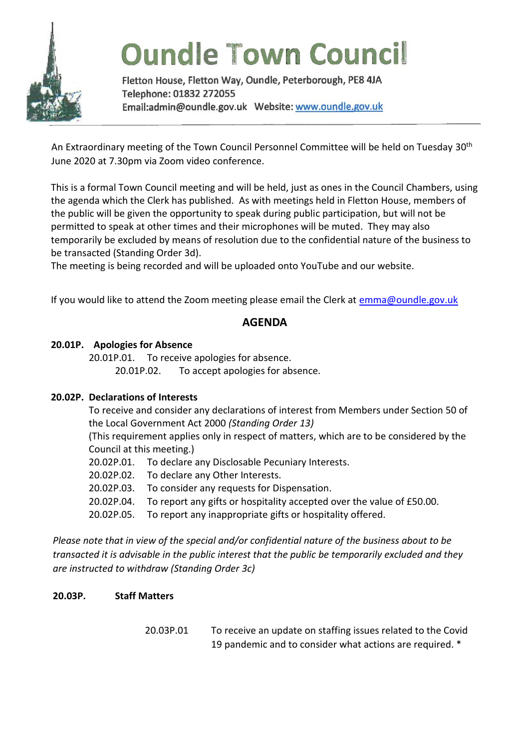

# **Oundle Town Council**

Fletton House, Fletton Way, Oundle, Peterborough, PE8 4JA Telephone: 01832 272055 

An Extraordinary meeting of the Town Council Personnel Committee will be held on Tuesday 30<sup>th</sup> June 2020 at 7.30pm via Zoom video conference.

This is a formal Town Council meeting and will be held, just as ones in the Council Chambers, using the agenda which the Clerk has published. As with meetings held in Fletton House, members of the public will be given the opportunity to speak during public participation, but will not be permitted to speak at other times and their microphones will be muted. They may also temporarily be excluded by means of resolution due to the confidential nature of the business to be transacted (Standing Order 3d).

The meeting is being recorded and will be uploaded onto YouTube and our website.

If you would like to attend the Zoom meeting please email the Clerk at [emma@oundle.gov.uk](mailto:emma@oundle.gov.uk)

# **AGENDA**

## **20.01P. Apologies for Absence**

20.01P.01. To receive apologies for absence. 20.01P.02. To accept apologies for absence.

### **20.02P. Declarations of Interests**

To receive and consider any declarations of interest from Members under Section 50 of the Local Government Act 2000 *(Standing Order 13)*

(This requirement applies only in respect of matters, which are to be considered by the Council at this meeting.)

- 20.02P.01. To declare any Disclosable Pecuniary Interests.
- 20.02P.02. To declare any Other Interests.
- 20.02P.03. To consider any requests for Dispensation.
- 20.02P.04. To report any gifts or hospitality accepted over the value of £50.00.
- 20.02P.05. To report any inappropriate gifts or hospitality offered.

*Please note that in view of the special and/or confidential nature of the business about to be transacted it is advisable in the public interest that the public be temporarily excluded and they are instructed to withdraw (Standing Order 3c)*

### **20.03P. Staff Matters**

20.03P.01 To receive an update on staffing issues related to the Covid 19 pandemic and to consider what actions are required. \*